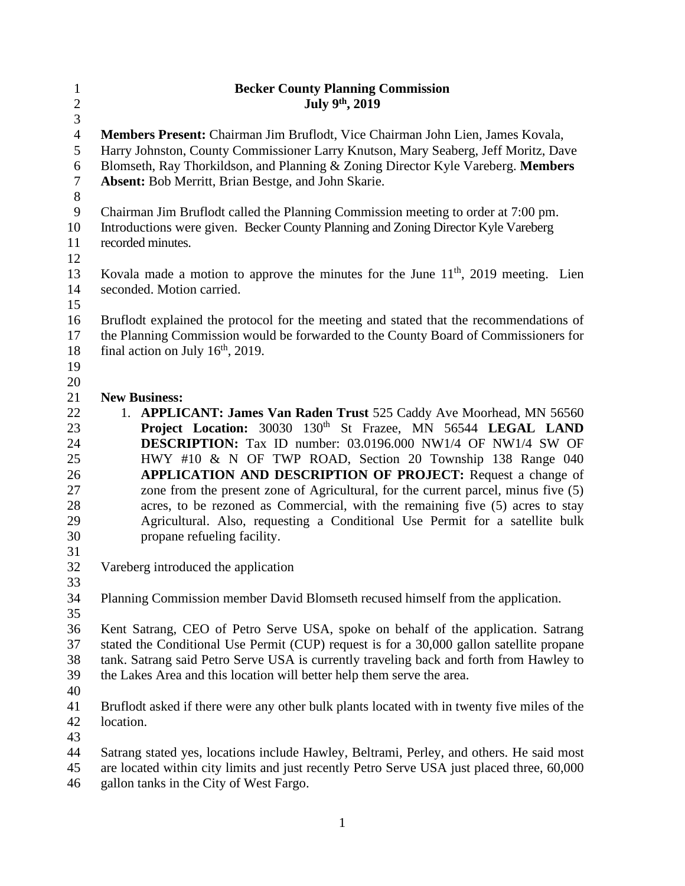| $\mathbf{1}$            | <b>Becker County Planning Commission</b>                                                    |
|-------------------------|---------------------------------------------------------------------------------------------|
| $\overline{\mathbf{c}}$ | July 9th, 2019                                                                              |
| $\overline{3}$          |                                                                                             |
| $\overline{4}$          | <b>Members Present:</b> Chairman Jim Bruflodt, Vice Chairman John Lien, James Kovala,       |
| 5                       | Harry Johnston, County Commissioner Larry Knutson, Mary Seaberg, Jeff Moritz, Dave          |
| 6                       | Blomseth, Ray Thorkildson, and Planning & Zoning Director Kyle Vareberg. Members            |
| $\tau$                  | Absent: Bob Merritt, Brian Bestge, and John Skarie.                                         |
| $8\,$                   |                                                                                             |
| 9                       | Chairman Jim Bruflodt called the Planning Commission meeting to order at 7:00 pm.           |
| 10                      | Introductions were given. Becker County Planning and Zoning Director Kyle Vareberg          |
| 11                      | recorded minutes.                                                                           |
| 12                      |                                                                                             |
| 13                      | Kovala made a motion to approve the minutes for the June $11th$ , 2019 meeting. Lien        |
| 14                      | seconded. Motion carried.                                                                   |
| 15                      |                                                                                             |
| 16                      | Bruflodt explained the protocol for the meeting and stated that the recommendations of      |
| 17                      | the Planning Commission would be forwarded to the County Board of Commissioners for         |
| 18                      | final action on July $16th$ , 2019.                                                         |
| 19                      |                                                                                             |
| 20                      |                                                                                             |
| 21                      | <b>New Business:</b>                                                                        |
| 22                      | 1. APPLICANT: James Van Raden Trust 525 Caddy Ave Moorhead, MN 56560                        |
| 23                      | Project Location: 30030 130 <sup>th</sup> St Frazee, MN 56544 LEGAL LAND                    |
| 24                      | <b>DESCRIPTION:</b> Tax ID number: 03.0196.000 NW1/4 OF NW1/4 SW OF                         |
| 25                      | HWY #10 & N OF TWP ROAD, Section 20 Township 138 Range 040                                  |
| 26                      | APPLICATION AND DESCRIPTION OF PROJECT: Request a change of                                 |
| 27                      | zone from the present zone of Agricultural, for the current parcel, minus five (5)          |
| 28                      | acres, to be rezoned as Commercial, with the remaining five (5) acres to stay               |
| 29                      | Agricultural. Also, requesting a Conditional Use Permit for a satellite bulk                |
| 30                      | propane refueling facility.                                                                 |
| 31                      |                                                                                             |
| 32                      | Vareberg introduced the application                                                         |
| 33                      |                                                                                             |
| 34                      | Planning Commission member David Blomseth recused himself from the application.             |
| 35                      |                                                                                             |
| 36                      | Kent Satrang, CEO of Petro Serve USA, spoke on behalf of the application. Satrang           |
| 37                      | stated the Conditional Use Permit (CUP) request is for a 30,000 gallon satellite propane    |
| 38                      | tank. Satrang said Petro Serve USA is currently traveling back and forth from Hawley to     |
| 39                      | the Lakes Area and this location will better help them serve the area.                      |
| 40                      |                                                                                             |
| 41                      | Bruflodt asked if there were any other bulk plants located with in twenty five miles of the |
| 42                      | location.                                                                                   |
| 43                      |                                                                                             |
| 44                      | Satrang stated yes, locations include Hawley, Beltrami, Perley, and others. He said most    |
| 45                      | are located within city limits and just recently Petro Serve USA just placed three, 60,000  |
| 46                      | gallon tanks in the City of West Fargo.                                                     |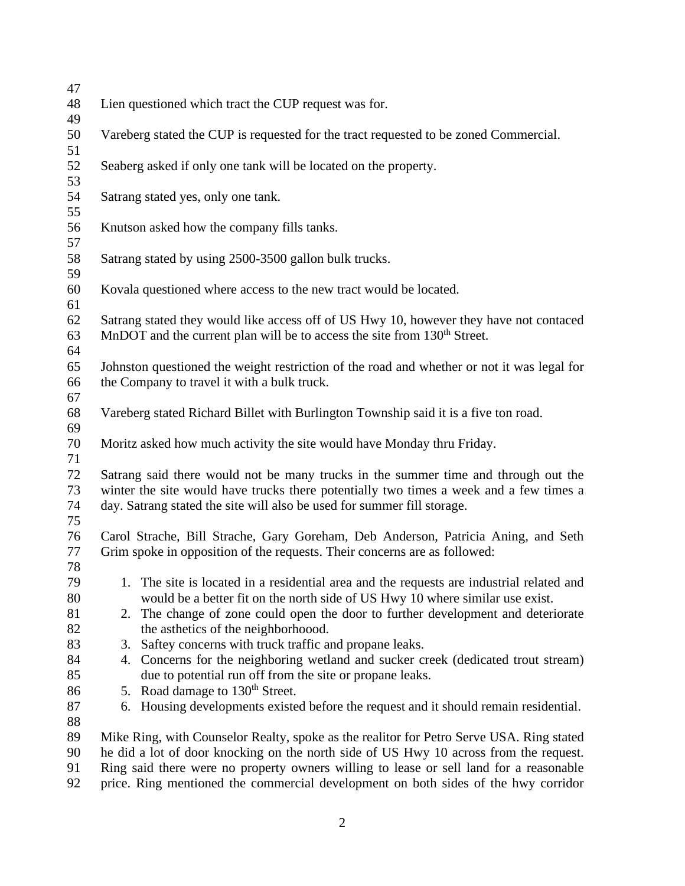| 47       |                                                                                            |  |  |  |  |
|----------|--------------------------------------------------------------------------------------------|--|--|--|--|
| 48       | Lien questioned which tract the CUP request was for.                                       |  |  |  |  |
| 49       |                                                                                            |  |  |  |  |
| 50       | Vareberg stated the CUP is requested for the tract requested to be zoned Commercial.       |  |  |  |  |
| 51       |                                                                                            |  |  |  |  |
| 52       | Seaberg asked if only one tank will be located on the property.                            |  |  |  |  |
| 53       |                                                                                            |  |  |  |  |
| 54       | Satrang stated yes, only one tank.                                                         |  |  |  |  |
| 55       |                                                                                            |  |  |  |  |
| 56       | Knutson asked how the company fills tanks.                                                 |  |  |  |  |
| 57       |                                                                                            |  |  |  |  |
| 58       | Satrang stated by using 2500-3500 gallon bulk trucks.                                      |  |  |  |  |
| 59       |                                                                                            |  |  |  |  |
| 60       | Kovala questioned where access to the new tract would be located.                          |  |  |  |  |
| 61       |                                                                                            |  |  |  |  |
| 62       | Satrang stated they would like access off of US Hwy 10, however they have not contaced     |  |  |  |  |
| 63       | MnDOT and the current plan will be to access the site from 130 <sup>th</sup> Street.       |  |  |  |  |
| 64       |                                                                                            |  |  |  |  |
| 65       | Johnston questioned the weight restriction of the road and whether or not it was legal for |  |  |  |  |
| 66       | the Company to travel it with a bulk truck.                                                |  |  |  |  |
| 67       |                                                                                            |  |  |  |  |
| 68       | Vareberg stated Richard Billet with Burlington Township said it is a five ton road.        |  |  |  |  |
| 69       |                                                                                            |  |  |  |  |
| 70       | Moritz asked how much activity the site would have Monday thru Friday.                     |  |  |  |  |
| 71       |                                                                                            |  |  |  |  |
| 72       | Satrang said there would not be many trucks in the summer time and through out the         |  |  |  |  |
| 73       | winter the site would have trucks there potentially two times a week and a few times a     |  |  |  |  |
| 74<br>75 | day. Satrang stated the site will also be used for summer fill storage.                    |  |  |  |  |
| 76       | Carol Strache, Bill Strache, Gary Goreham, Deb Anderson, Patricia Aning, and Seth          |  |  |  |  |
| 77       | Grim spoke in opposition of the requests. Their concerns are as followed:                  |  |  |  |  |
| 78       |                                                                                            |  |  |  |  |
| 79       | 1. The site is located in a residential area and the requests are industrial related and   |  |  |  |  |
| 80       | would be a better fit on the north side of US Hwy 10 where similar use exist.              |  |  |  |  |
| 81       | 2. The change of zone could open the door to further development and deteriorate           |  |  |  |  |
| 82       | the asthetics of the neighborhoood.                                                        |  |  |  |  |
| 83       | Saftey concerns with truck traffic and propane leaks.<br>3.                                |  |  |  |  |
| 84       | 4. Concerns for the neighboring wetland and sucker creek (dedicated trout stream)          |  |  |  |  |
| 85       | due to potential run off from the site or propane leaks.                                   |  |  |  |  |
| 86       | 5. Road damage to 130 <sup>th</sup> Street.                                                |  |  |  |  |
| 87       | 6. Housing developments existed before the request and it should remain residential.       |  |  |  |  |
| 88       |                                                                                            |  |  |  |  |
| 89       | Mike Ring, with Counselor Realty, spoke as the realitor for Petro Serve USA. Ring stated   |  |  |  |  |
| 90       | he did a lot of door knocking on the north side of US Hwy 10 across from the request.      |  |  |  |  |
| 91       | Ring said there were no property owners willing to lease or sell land for a reasonable     |  |  |  |  |
| $\Omega$ | Ding mentioned the commencial development on hoth sides of the hun comiden                 |  |  |  |  |

price. Ring mentioned the commercial development on both sides of the hwy corridor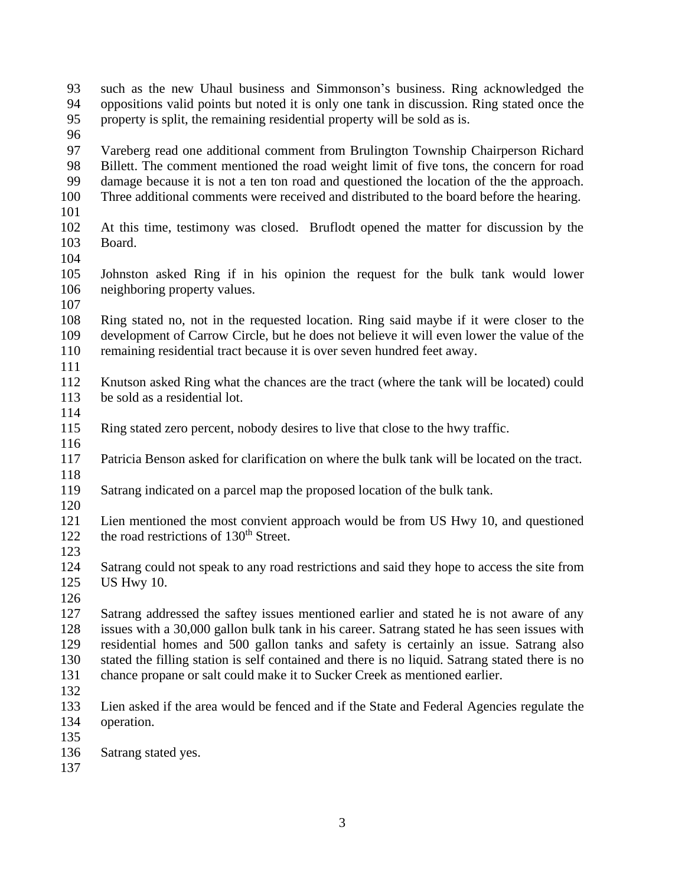| 93  | such as the new Uhaul business and Simmonson's business. Ring acknowledged the                  |  |  |  |
|-----|-------------------------------------------------------------------------------------------------|--|--|--|
| 94  | oppositions valid points but noted it is only one tank in discussion. Ring stated once the      |  |  |  |
| 95  | property is split, the remaining residential property will be sold as is.                       |  |  |  |
| 96  |                                                                                                 |  |  |  |
| 97  | Vareberg read one additional comment from Brulington Township Chairperson Richard               |  |  |  |
| 98  | Billett. The comment mentioned the road weight limit of five tons, the concern for road         |  |  |  |
| 99  | damage because it is not a ten ton road and questioned the location of the the approach.        |  |  |  |
| 100 | Three additional comments were received and distributed to the board before the hearing.        |  |  |  |
| 101 |                                                                                                 |  |  |  |
| 102 | At this time, testimony was closed. Bruflodt opened the matter for discussion by the            |  |  |  |
| 103 | Board.                                                                                          |  |  |  |
| 104 |                                                                                                 |  |  |  |
| 105 | Johnston asked Ring if in his opinion the request for the bulk tank would lower                 |  |  |  |
| 106 | neighboring property values.                                                                    |  |  |  |
| 107 |                                                                                                 |  |  |  |
| 108 | Ring stated no, not in the requested location. Ring said maybe if it were closer to the         |  |  |  |
| 109 | development of Carrow Circle, but he does not believe it will even lower the value of the       |  |  |  |
| 110 | remaining residential tract because it is over seven hundred feet away.                         |  |  |  |
| 111 |                                                                                                 |  |  |  |
| 112 | Knutson asked Ring what the chances are the tract (where the tank will be located) could        |  |  |  |
| 113 | be sold as a residential lot.                                                                   |  |  |  |
| 114 |                                                                                                 |  |  |  |
| 115 | Ring stated zero percent, nobody desires to live that close to the hwy traffic.                 |  |  |  |
| 116 |                                                                                                 |  |  |  |
| 117 | Patricia Benson asked for clarification on where the bulk tank will be located on the tract.    |  |  |  |
| 118 |                                                                                                 |  |  |  |
| 119 | Satrang indicated on a parcel map the proposed location of the bulk tank.                       |  |  |  |
| 120 |                                                                                                 |  |  |  |
| 121 | Lien mentioned the most convient approach would be from US Hwy 10, and questioned               |  |  |  |
| 122 | the road restrictions of 130 <sup>th</sup> Street.                                              |  |  |  |
| 123 |                                                                                                 |  |  |  |
| 124 | Satrang could not speak to any road restrictions and said they hope to access the site from     |  |  |  |
| 125 | US Hwy 10.                                                                                      |  |  |  |
| 126 |                                                                                                 |  |  |  |
| 127 | Satrang addressed the saftey issues mentioned earlier and stated he is not aware of any         |  |  |  |
| 128 | issues with a 30,000 gallon bulk tank in his career. Satrang stated he has seen issues with     |  |  |  |
| 129 | residential homes and 500 gallon tanks and safety is certainly an issue. Satrang also           |  |  |  |
| 130 | stated the filling station is self contained and there is no liquid. Satrang stated there is no |  |  |  |
| 131 | chance propane or salt could make it to Sucker Creek as mentioned earlier.                      |  |  |  |
| 132 |                                                                                                 |  |  |  |
| 133 | Lien asked if the area would be fenced and if the State and Federal Agencies regulate the       |  |  |  |
| 134 | operation.                                                                                      |  |  |  |
| 135 |                                                                                                 |  |  |  |
| 136 | Satrang stated yes.                                                                             |  |  |  |
| 137 |                                                                                                 |  |  |  |